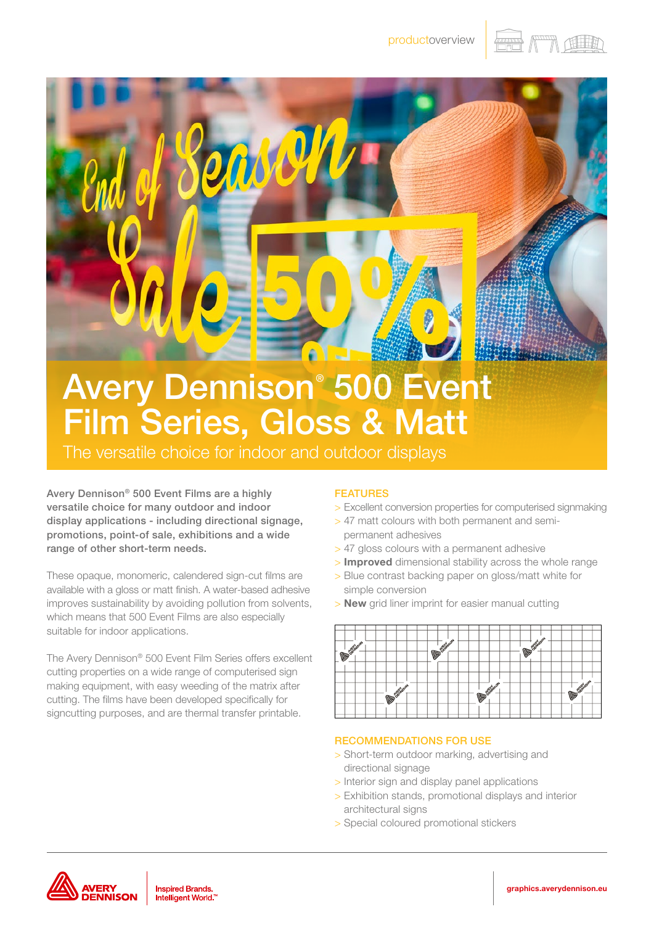



## Avery Dennison® 500 Event Film Series, Gloss & Matt

The versatile choice for indoor and outdoor displays

Avery Dennison® 500 Event Films are a highly versatile choice for many outdoor and indoor display applications - including directional signage, promotions, point-of sale, exhibitions and a wide range of other short-term needs.

These opaque, monomeric, calendered sign-cut films are available with a gloss or matt finish. A water-based adhesive improves sustainability by avoiding pollution from solvents, which means that 500 Event Films are also especially suitable for indoor applications.

The Avery Dennison® 500 Event Film Series offers excellent cutting properties on a wide range of computerised sign making equipment, with easy weeding of the matrix after cutting. The films have been developed specifically for signcutting purposes, and are thermal transfer printable.

## FEATURES

- > Excellent conversion properties for computerised signmaking
- > 47 matt colours with both permanent and semipermanent adhesives
- > 47 gloss colours with a permanent adhesive
- > Improved dimensional stability across the whole range
- > Blue contrast backing paper on gloss/matt white for simple conversion
- > New grid liner imprint for easier manual cutting



## RECOMMENDATIONS FOR USE

- > Short-term outdoor marking, advertising and directional signage
- > Interior sign and display panel applications
- > Exhibition stands, promotional displays and interior architectural signs
- > Special coloured promotional stickers